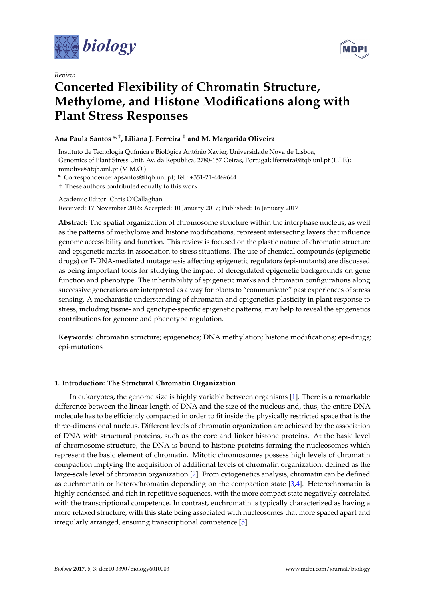

*Review*



# **Concerted Flexibility of Chromatin Structure, Methylome, and Histone Modifications along with Plant Stress Responses**

# **Ana Paula Santos \*,†, Liliana J. Ferreira † and M. Margarida Oliveira**

Instituto de Tecnologia Química e Biológica António Xavier, Universidade Nova de Lisboa, Genomics of Plant Stress Unit. Av. da República, 2780-157 Oeiras, Portugal; lferreira@itqb.unl.pt (L.J.F.); mmolive@itqb.unl.pt (M.M.O.)

**\*** Correspondence: apsantos@itqb.unl.pt; Tel.: +351-21-4469644

† These authors contributed equally to this work.

Academic Editor: Chris O'Callaghan

Received: 17 November 2016; Accepted: 10 January 2017; Published: 16 January 2017

**Abstract:** The spatial organization of chromosome structure within the interphase nucleus, as well as the patterns of methylome and histone modifications, represent intersecting layers that influence genome accessibility and function. This review is focused on the plastic nature of chromatin structure and epigenetic marks in association to stress situations. The use of chemical compounds (epigenetic drugs) or T-DNA-mediated mutagenesis affecting epigenetic regulators (epi-mutants) are discussed as being important tools for studying the impact of deregulated epigenetic backgrounds on gene function and phenotype. The inheritability of epigenetic marks and chromatin configurations along successive generations are interpreted as a way for plants to "communicate" past experiences of stress sensing. A mechanistic understanding of chromatin and epigenetics plasticity in plant response to stress, including tissue- and genotype-specific epigenetic patterns, may help to reveal the epigenetics contributions for genome and phenotype regulation.

**Keywords:** chromatin structure; epigenetics; DNA methylation; histone modifications; epi-drugs; epi-mutations

# **1. Introduction: The Structural Chromatin Organization**

In eukaryotes, the genome size is highly variable between organisms [\[1\]](#page-8-0). There is a remarkable difference between the linear length of DNA and the size of the nucleus and, thus, the entire DNA molecule has to be efficiently compacted in order to fit inside the physically restricted space that is the three-dimensional nucleus. Different levels of chromatin organization are achieved by the association of DNA with structural proteins, such as the core and linker histone proteins. At the basic level of chromosome structure, the DNA is bound to histone proteins forming the nucleosomes which represent the basic element of chromatin. Mitotic chromosomes possess high levels of chromatin compaction implying the acquisition of additional levels of chromatin organization, defined as the large-scale level of chromatin organization [\[2\]](#page-8-1). From cytogenetics analysis, chromatin can be defined as euchromatin or heterochromatin depending on the compaction state [\[3](#page-8-2)[,4\]](#page-8-3). Heterochromatin is highly condensed and rich in repetitive sequences, with the more compact state negatively correlated with the transcriptional competence. In contrast, euchromatin is typically characterized as having a more relaxed structure, with this state being associated with nucleosomes that more spaced apart and irregularly arranged, ensuring transcriptional competence [\[5\]](#page-8-4).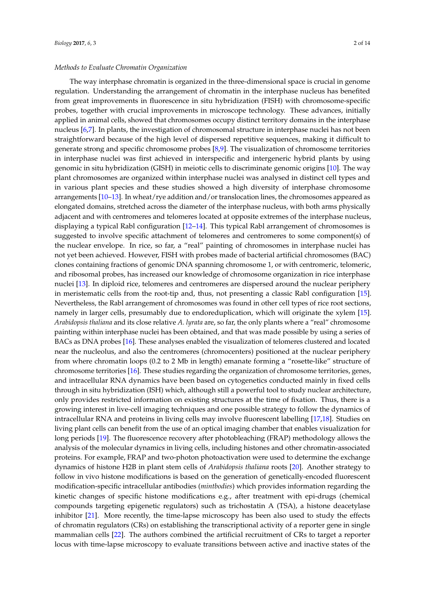# *Methods to Evaluate Chromatin Organization*

The way interphase chromatin is organized in the three-dimensional space is crucial in genome regulation. Understanding the arrangement of chromatin in the interphase nucleus has benefited from great improvements in fluorescence in situ hybridization (FISH) with chromosome-specific probes, together with crucial improvements in microscope technology. These advances, initially applied in animal cells, showed that chromosomes occupy distinct territory domains in the interphase nucleus [\[6](#page-8-5)[,7\]](#page-8-6). In plants, the investigation of chromosomal structure in interphase nuclei has not been straightforward because of the high level of dispersed repetitive sequences, making it difficult to generate strong and specific chromosome probes [\[8,](#page-8-7)[9\]](#page-8-8). The visualization of chromosome territories in interphase nuclei was first achieved in interspecific and intergeneric hybrid plants by using genomic in situ hybridization (GISH) in meiotic cells to discriminate genomic origins [\[10\]](#page-8-9). The way plant chromosomes are organized within interphase nuclei was analysed in distinct cell types and in various plant species and these studies showed a high diversity of interphase chromosome arrangements [\[10](#page-8-9)[–13\]](#page-8-10). In wheat/rye addition and/or translocation lines, the chromosomes appeared as elongated domains, stretched across the diameter of the interphase nucleus, with both arms physically adjacent and with centromeres and telomeres located at opposite extremes of the interphase nucleus, displaying a typical Rabl configuration [\[12](#page-8-11)[–14\]](#page-8-12). This typical Rabl arrangement of chromosomes is suggested to involve specific attachment of telomeres and centromeres to some component(s) of the nuclear envelope. In rice, so far, a "real" painting of chromosomes in interphase nuclei has not yet been achieved. However, FISH with probes made of bacterial artificial chromosomes (BAC) clones containing fractions of genomic DNA spanning chromosome 1, or with centromeric, telomeric, and ribosomal probes, has increased our knowledge of chromosome organization in rice interphase nuclei [\[13\]](#page-8-10). In diploid rice, telomeres and centromeres are dispersed around the nuclear periphery in meristematic cells from the root-tip and, thus, not presenting a classic Rabl configuration [\[15\]](#page-8-13). Nevertheless, the Rabl arrangement of chromosomes was found in other cell types of rice root sections, namely in larger cells, presumably due to endoreduplication, which will originate the xylem [\[15\]](#page-8-13). *Arabidopsis thaliana* and its close relative *A. lyrata* are, so far, the only plants where a "real" chromosome painting within interphase nuclei has been obtained, and that was made possible by using a series of BACs as DNA probes [\[16\]](#page-8-14). These analyses enabled the visualization of telomeres clustered and located near the nucleolus, and also the centromeres (chromocenters) positioned at the nuclear periphery from where chromatin loops (0.2 to 2 Mb in length) emanate forming a "rosette-like" structure of chromosome territories [\[16\]](#page-8-14). These studies regarding the organization of chromosome territories, genes, and intracellular RNA dynamics have been based on cytogenetics conducted mainly in fixed cells through in situ hybridization (ISH) which, although still a powerful tool to study nuclear architecture, only provides restricted information on existing structures at the time of fixation. Thus, there is a growing interest in live-cell imaging techniques and one possible strategy to follow the dynamics of intracellular RNA and proteins in living cells may involve fluorescent labelling [\[17,](#page-9-0)[18\]](#page-9-1). Studies on living plant cells can benefit from the use of an optical imaging chamber that enables visualization for long periods [\[19\]](#page-9-2). The fluorescence recovery after photobleaching (FRAP) methodology allows the analysis of the molecular dynamics in living cells, including histones and other chromatin-associated proteins. For example, FRAP and two-photon photoactivation were used to determine the exchange dynamics of histone H2B in plant stem cells of *Arabidopsis thaliana* roots [\[20\]](#page-9-3). Another strategy to follow in vivo histone modifications is based on the generation of genetically-encoded fluorescent modification-specific intracellular antibodies (*mintbodies*) which provides information regarding the kinetic changes of specific histone modifications e.g., after treatment with epi-drugs (chemical compounds targeting epigenetic regulators) such as trichostatin A (TSA), a histone deacetylase inhibitor [\[21\]](#page-9-4). More recently, the time-lapse microscopy has been also used to study the effects of chromatin regulators (CRs) on establishing the transcriptional activity of a reporter gene in single mammalian cells [\[22\]](#page-9-5). The authors combined the artificial recruitment of CRs to target a reporter locus with time-lapse microscopy to evaluate transitions between active and inactive states of the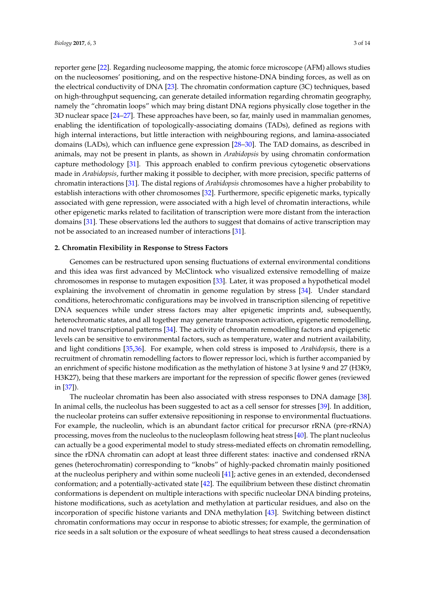reporter gene [\[22\]](#page-9-5). Regarding nucleosome mapping, the atomic force microscope (AFM) allows studies on the nucleosomes' positioning, and on the respective histone-DNA binding forces, as well as on the electrical conductivity of DNA [\[23\]](#page-9-6). The chromatin conformation capture (3C) techniques, based on high-throughput sequencing, can generate detailed information regarding chromatin geography, namely the "chromatin loops" which may bring distant DNA regions physically close together in the 3D nuclear space [\[24](#page-9-7)[–27\]](#page-9-8). These approaches have been, so far, mainly used in mammalian genomes, enabling the identification of topologically-associating domains (TADs), defined as regions with high internal interactions, but little interaction with neighbouring regions, and lamina-associated domains (LADs), which can influence gene expression [\[28](#page-9-9)[–30\]](#page-9-10). The TAD domains, as described in animals, may not be present in plants, as shown in *Arabidopsis* by using chromatin conformation capture methodology [\[31\]](#page-9-11). This approach enabled to confirm previous cytogenetic observations made in *Arabidopsis*, further making it possible to decipher, with more precision, specific patterns of chromatin interactions [\[31\]](#page-9-11). The distal regions of *Arabidopsis* chromosomes have a higher probability to establish interactions with other chromosomes [\[32\]](#page-9-12). Furthermore, specific epigenetic marks, typically associated with gene repression, were associated with a high level of chromatin interactions, while other epigenetic marks related to facilitation of transcription were more distant from the interaction domains [\[31\]](#page-9-11). These observations led the authors to suggest that domains of active transcription may not be associated to an increased number of interactions [\[31\]](#page-9-11).

#### **2. Chromatin Flexibility in Response to Stress Factors**

Genomes can be restructured upon sensing fluctuations of external environmental conditions and this idea was first advanced by McClintock who visualized extensive remodelling of maize chromosomes in response to mutagen exposition [\[33\]](#page-9-13). Later, it was proposed a hypothetical model explaining the involvement of chromatin in genome regulation by stress [\[34\]](#page-9-14). Under standard conditions, heterochromatic configurations may be involved in transcription silencing of repetitive DNA sequences while under stress factors may alter epigenetic imprints and, subsequently, heterochromatic states, and all together may generate transposon activation, epigenetic remodelling, and novel transcriptional patterns [\[34\]](#page-9-14). The activity of chromatin remodelling factors and epigenetic levels can be sensitive to environmental factors, such as temperature, water and nutrient availability, and light conditions [\[35,](#page-9-15)[36\]](#page-9-16). For example, when cold stress is imposed to *Arabidopsis*, there is a recruitment of chromatin remodelling factors to flower repressor loci, which is further accompanied by an enrichment of specific histone modification as the methylation of histone 3 at lysine 9 and 27 (H3K9, H3K27), being that these markers are important for the repression of specific flower genes (reviewed in [\[37\]](#page-9-17)).

The nucleolar chromatin has been also associated with stress responses to DNA damage [\[38\]](#page-9-18). In animal cells, the nucleolus has been suggested to act as a cell sensor for stresses [\[39\]](#page-10-0). In addition, the nucleolar proteins can suffer extensive repositioning in response to environmental fluctuations. For example, the nucleolin, which is an abundant factor critical for precursor rRNA (pre-rRNA) processing, moves from the nucleolus to the nucleoplasm following heat stress [\[40\]](#page-10-1). The plant nucleolus can actually be a good experimental model to study stress-mediated effects on chromatin remodelling, since the rDNA chromatin can adopt at least three different states: inactive and condensed rRNA genes (heterochromatin) corresponding to "knobs" of highly-packed chromatin mainly positioned at the nucleolus periphery and within some nucleoli [\[41\]](#page-10-2); active genes in an extended, decondensed conformation; and a potentially-activated state [\[42\]](#page-10-3). The equilibrium between these distinct chromatin conformations is dependent on multiple interactions with specific nucleolar DNA binding proteins, histone modifications, such as acetylation and methylation at particular residues, and also on the incorporation of specific histone variants and DNA methylation [\[43\]](#page-10-4). Switching between distinct chromatin conformations may occur in response to abiotic stresses; for example, the germination of rice seeds in a salt solution or the exposure of wheat seedlings to heat stress caused a decondensation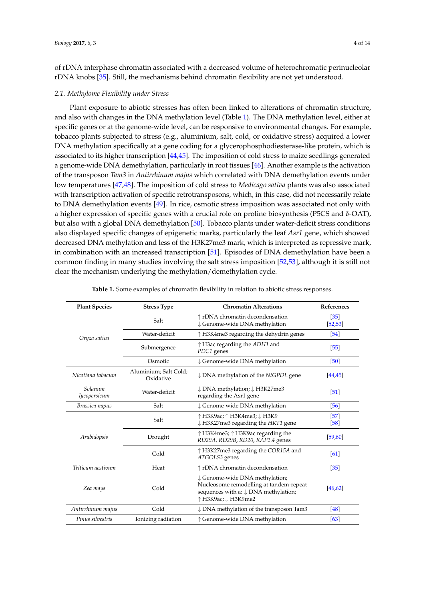of rDNA interphase chromatin associated with a decreased volume of heterochromatic perinucleolar rDNA knobs [\[35\]](#page-9-15). Still, the mechanisms behind chromatin flexibility are not yet understood.

# *2.1. Methylome Flexibility under Stress*

Plant exposure to abiotic stresses has often been linked to alterations of chromatin structure, and also with changes in the DNA methylation level (Table [1\)](#page-3-0). The DNA methylation level, either at specific genes or at the genome-wide level, can be responsive to environmental changes. For example, tobacco plants subjected to stress (e.g., aluminium, salt, cold, or oxidative stress) acquired a lower DNA methylation specifically at a gene coding for a glycerophosphodiesterase-like protein, which is associated to its higher transcription [\[44](#page-10-5)[,45\]](#page-10-6). The imposition of cold stress to maize seedlings generated a genome-wide DNA demethylation, particularly in root tissues [\[46\]](#page-10-7). Another example is the activation of the transposon *Tam3* in *Antirrhinum majus* which correlated with DNA demethylation events under low temperatures [\[47](#page-10-8)[,48\]](#page-10-9). The imposition of cold stress to *Medicago sativa* plants was also associated with transcription activation of specific retrotransposons, which, in this case, did not necessarily relate to DNA demethylation events [\[49\]](#page-10-10). In rice, osmotic stress imposition was associated not only with a higher expression of specific genes with a crucial role on proline biosynthesis (P5CS and  $\delta$ -OAT), but also with a global DNA demethylation [\[50\]](#page-10-11). Tobacco plants under water-deficit stress conditions also displayed specific changes of epigenetic marks, particularly the leaf *Asr1* gene, which showed decreased DNA methylation and less of the H3K27me3 mark, which is interpreted as repressive mark, in combination with an increased transcription [\[51\]](#page-10-12). Episodes of DNA demethylation have been a common finding in many studies involving the salt stress imposition [\[52](#page-10-13)[,53\]](#page-10-14), although it is still not clear the mechanism underlying the methylation/demethylation cycle.

<span id="page-3-0"></span>

| <b>Plant Species</b>    | <b>Stress Type</b>                 | <b>Chromatin Alterations</b>                                                                                                                        | <b>References</b>             |
|-------------------------|------------------------------------|-----------------------------------------------------------------------------------------------------------------------------------------------------|-------------------------------|
| Oryza sativa            | Salt                               | ↑ rDNA chromatin decondensation<br>↓ Genome-wide DNA methylation                                                                                    | $\left[35\right]$<br>[52, 53] |
|                         | Water-deficit                      | $\uparrow$ H3K4me3 regarding the dehydrin genes                                                                                                     | [54]                          |
|                         | Submergence                        | $\uparrow$ H3ac regarding the ADH1 and<br>PDC1 genes                                                                                                | $[55]$                        |
|                         | Osmotic                            | ↓ Genome-wide DNA methylation                                                                                                                       | [50]                          |
| Nicotiana tabacum       | Aluminium; Salt Cold;<br>Oxidative | $\downarrow$ DNA methylation of the NtGPDL gene                                                                                                     | [44, 45]                      |
| Solanum<br>lycopersicum | Water-deficit                      | ↓ DNA methylation; ↓ H3K27me3<br>regarding the Asr1 gene                                                                                            | [51]                          |
| Brassica napus          | Salt                               | ↓ Genome-wide DNA methylation                                                                                                                       | [56]                          |
| Arabidopsis             | Salt                               | ↑ H3K9ac; ↑ H3K4me3; ↓ H3K9<br>$\downarrow$ H3K27me3 regarding the HKT1 gene                                                                        | [57]<br>$[58]$                |
|                         | Drought                            | ↑ H3K4me3; ↑ H3K9ac regarding the<br>RD29A, RD29B, RD20, RAP2.4 genes                                                                               | [59, 60]                      |
|                         | Cold                               | $\uparrow$ H3K27me3 regarding the COR15A and<br>ATGOLS3 genes                                                                                       | [61]                          |
| Triticum aestivum       | Heat                               | ↑ rDNA chromatin decondensation                                                                                                                     | $[35]$                        |
| Zea mays                | Cold                               | ↓ Genome-wide DNA methylation;<br>Nucleosome remodelling at tandem-repeat<br>sequences with a: $\downarrow$ DNA methylation;<br>↑ H3K9ac; ↓ H3K9me2 | [46.62]                       |
| Antirrhinum majus       | Cold                               | ↓ DNA methylation of the transposon Tam3                                                                                                            | [48]                          |
| Pinus silvestris        | Ionizing radiation                 | ↑ Genome-wide DNA methylation                                                                                                                       | [63]                          |

| <b>Table 1.</b> Some examples of chromatin flexibility in relation to abiotic stress responses. |
|-------------------------------------------------------------------------------------------------|
|-------------------------------------------------------------------------------------------------|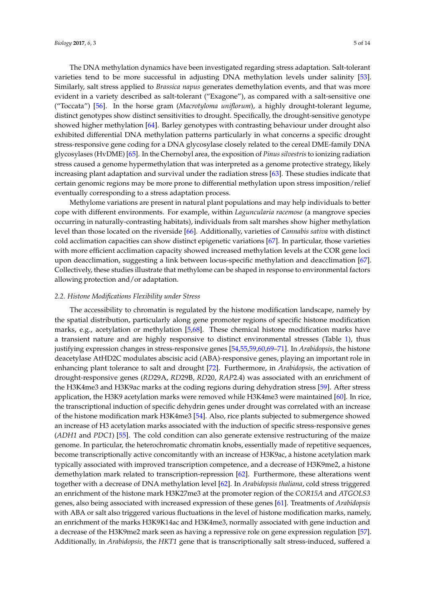The DNA methylation dynamics have been investigated regarding stress adaptation. Salt-tolerant varieties tend to be more successful in adjusting DNA methylation levels under salinity [\[53\]](#page-10-14). Similarly, salt stress applied to *Brassica napus* generates demethylation events, and that was more evident in a variety described as salt-tolerant ("Exagone"), as compared with a salt-sensitive one ("Toccata") [\[56\]](#page-10-17). In the horse gram (*Macrotyloma uniflorum*), a highly drought-tolerant legume, distinct genotypes show distinct sensitivities to drought. Specifically, the drought-sensitive genotype showed higher methylation [\[64\]](#page-11-4). Barley genotypes with contrasting behaviour under drought also exhibited differential DNA methylation patterns particularly in what concerns a specific drought stress-responsive gene coding for a DNA glycosylase closely related to the cereal DME-family DNA glycosylases (HvDME) [\[65\]](#page-11-5). In the Chernobyl area, the exposition of *Pinus silvestris* to ionizing radiation stress caused a genome hypermethylation that was interpreted as a genome protective strategy, likely increasing plant adaptation and survival under the radiation stress [\[63\]](#page-11-3). These studies indicate that certain genomic regions may be more prone to differential methylation upon stress imposition/relief eventually corresponding to a stress adaptation process.

Methylome variations are present in natural plant populations and may help individuals to better cope with different environments. For example, within *Laguncularia racemose* (a mangrove species occurring in naturally-contrasting habitats), individuals from salt marshes show higher methylation level than those located on the riverside [\[66\]](#page-11-6). Additionally, varieties of *Cannabis sativa* with distinct cold acclimation capacities can show distinct epigenetic variations [\[67\]](#page-11-7). In particular, those varieties with more efficient acclimation capacity showed increased methylation levels at the COR gene loci upon deacclimation, suggesting a link between locus-specific methylation and deacclimation [\[67\]](#page-11-7). Collectively, these studies illustrate that methylome can be shaped in response to environmental factors allowing protection and/or adaptation.

# *2.2. Histone Modifications Flexibility under Stress*

The accessibility to chromatin is regulated by the histone modification landscape, namely by the spatial distribution, particularly along gene promoter regions of specific histone modification marks, e.g., acetylation or methylation [\[5](#page-8-4)[,68\]](#page-11-8). These chemical histone modification marks have a transient nature and are highly responsive to distinct environmental stresses (Table [1\)](#page-3-0), thus justifying expression changes in stress-responsive genes [\[54,](#page-10-15)[55,](#page-10-16)[59,](#page-10-20)[60](#page-11-0)[,69–](#page-11-9)[71\]](#page-11-10). In *Arabidopsis*, the histone deacetylase AtHD2C modulates abscisic acid (ABA)-responsive genes, playing an important role in enhancing plant tolerance to salt and drought [\[72\]](#page-11-11). Furthermore, in *Arabidopsis*, the activation of drought-responsive genes (*RD*29A, *RD*29B, *RD*20, *RAP*2.4) was associated with an enrichment of the H3K4me3 and H3K9ac marks at the coding regions during dehydration stress [\[59\]](#page-10-20). After stress application, the H3K9 acetylation marks were removed while H3K4me3 were maintained [\[60\]](#page-11-0). In rice, the transcriptional induction of specific dehydrin genes under drought was correlated with an increase of the histone modification mark H3K4me3 [\[54\]](#page-10-15). Also, rice plants subjected to submergence showed an increase of H3 acetylation marks associated with the induction of specific stress-responsive genes (*ADH1* and *PDC1*) [\[55\]](#page-10-16). The cold condition can also generate extensive restructuring of the maize genome. In particular, the heterochromatic chromatin knobs, essentially made of repetitive sequences, become transcriptionally active concomitantly with an increase of H3K9ac, a histone acetylation mark typically associated with improved transcription competence, and a decrease of H3K9me2, a histone demethylation mark related to transcription-repression [\[62\]](#page-11-2). Furthermore, these alterations went together with a decrease of DNA methylation level [\[62\]](#page-11-2). In *Arabidopsis thaliana*, cold stress triggered an enrichment of the histone mark H3K27me3 at the promoter region of the *COR15A* and *ATGOLS3* genes, also being associated with increased expression of these genes [\[61\]](#page-11-1). Treatments of *Arabidopsis* with ABA or salt also triggered various fluctuations in the level of histone modification marks, namely, an enrichment of the marks H3K9K14ac and H3K4me3, normally associated with gene induction and a decrease of the H3K9me2 mark seen as having a repressive role on gene expression regulation [\[57\]](#page-10-18). Additionally, in *Arabidopsis*, the *HKT1* gene that is transcriptionally salt stress-induced, suffered a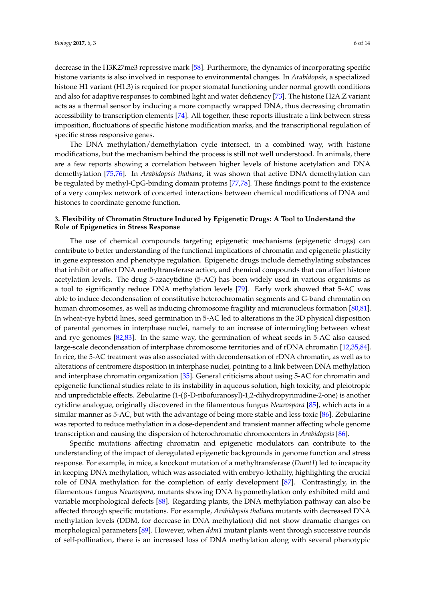decrease in the H3K27me3 repressive mark [\[58\]](#page-10-19). Furthermore, the dynamics of incorporating specific histone variants is also involved in response to environmental changes. In *Arabidopsis*, a specialized histone H1 variant (H1.3) is required for proper stomatal functioning under normal growth conditions and also for adaptive responses to combined light and water deficiency [\[73\]](#page-11-12). The histone H2A.Z variant acts as a thermal sensor by inducing a more compactly wrapped DNA, thus decreasing chromatin accessibility to transcription elements [\[74\]](#page-11-13). All together, these reports illustrate a link between stress imposition, fluctuations of specific histone modification marks, and the transcriptional regulation of specific stress responsive genes.

The DNA methylation/demethylation cycle intersect, in a combined way, with histone modifications, but the mechanism behind the process is still not well understood. In animals, there are a few reports showing a correlation between higher levels of histone acetylation and DNA demethylation [\[75,](#page-11-14)[76\]](#page-11-15). In *Arabidopsis thaliana*, it was shown that active DNA demethylation can be regulated by methyl-CpG-binding domain proteins [\[77,](#page-11-16)[78\]](#page-11-17). These findings point to the existence of a very complex network of concerted interactions between chemical modifications of DNA and histones to coordinate genome function.

# **3. Flexibility of Chromatin Structure Induced by Epigenetic Drugs: A Tool to Understand the Role of Epigenetics in Stress Response**

The use of chemical compounds targeting epigenetic mechanisms (epigenetic drugs) can contribute to better understanding of the functional implications of chromatin and epigenetic plasticity in gene expression and phenotype regulation. Epigenetic drugs include demethylating substances that inhibit or affect DNA methyltransferase action, and chemical compounds that can affect histone acetylation levels. The drug 5-azacytidine (5-AC) has been widely used in various organisms as a tool to significantly reduce DNA methylation levels [\[79\]](#page-11-18). Early work showed that 5-AC was able to induce decondensation of constitutive heterochromatin segments and G-band chromatin on human chromosomes, as well as inducing chromosome fragility and micronucleus formation [\[80,](#page-11-19)[81\]](#page-12-0). In wheat-rye hybrid lines, seed germination in 5-AC led to alterations in the 3D physical disposition of parental genomes in interphase nuclei, namely to an increase of intermingling between wheat and rye genomes [\[82](#page-12-1)[,83\]](#page-12-2). In the same way, the germination of wheat seeds in 5-AC also caused large-scale decondensation of interphase chromosome territories and of rDNA chromatin [\[12,](#page-8-11)[35,](#page-9-15)[84\]](#page-12-3). In rice, the 5-AC treatment was also associated with decondensation of rDNA chromatin, as well as to alterations of centromere disposition in interphase nuclei, pointing to a link between DNA methylation and interphase chromatin organization [\[35\]](#page-9-15). General criticisms about using 5-AC for chromatin and epigenetic functional studies relate to its instability in aqueous solution, high toxicity, and pleiotropic and unpredictable effects. Zebularine (1-(β-D-ribofuranosyl)-1,2-dihydropyrimidine-2-one) is another cytidine analogue, originally discovered in the filamentous fungus *Neurospora* [\[85\]](#page-12-4), which acts in a similar manner as 5-AC, but with the advantage of being more stable and less toxic [\[86\]](#page-12-5). Zebularine was reported to reduce methylation in a dose-dependent and transient manner affecting whole genome transcription and causing the dispersion of heterochromatic chromocenters in *Arabidopsis* [\[86\]](#page-12-5).

Specific mutations affecting chromatin and epigenetic modulators can contribute to the understanding of the impact of deregulated epigenetic backgrounds in genome function and stress response. For example, in mice, a knockout mutation of a methyltransferase (*Dnmt1*) led to incapacity in keeping DNA methylation, which was associated with embryo-lethality, highlighting the crucial role of DNA methylation for the completion of early development [\[87\]](#page-12-6). Contrastingly, in the filamentous fungus *Neurospora,* mutants showing DNA hypomethylation only exhibited mild and variable morphological defects [\[88\]](#page-12-7). Regarding plants, the DNA methylation pathway can also be affected through specific mutations. For example, *Arabidopsis thaliana* mutants with decreased DNA methylation levels (DDM, for decrease in DNA methylation) did not show dramatic changes on morphological parameters [\[89\]](#page-12-8). However, when *ddm1* mutant plants went through successive rounds of self-pollination, there is an increased loss of DNA methylation along with several phenotypic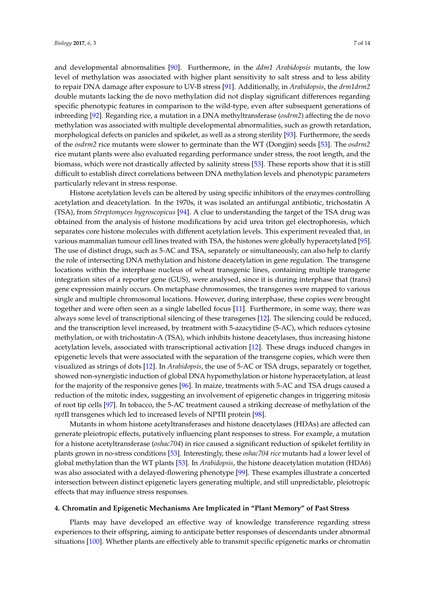and developmental abnormalities [\[90\]](#page-12-9). Furthermore, in the *ddm1 Arabidopsis* mutants, the low level of methylation was associated with higher plant sensitivity to salt stress and to less ability to repair DNA damage after exposure to UV-B stress [\[91\]](#page-12-10). Additionally, in *Arabidopsis*, the *drm1drm2* double mutants lacking the de novo methylation did not display significant differences regarding specific phenotypic features in comparison to the wild-type, even after subsequent generations of inbreeding [\[92\]](#page-12-11). Regarding rice, a mutation in a DNA methyltransferase (*osdrm2*) affecting the de novo methylation was associated with multiple developmental abnormalities, such as growth retardation, morphological defects on panicles and spikelet, as well as a strong sterility [\[93\]](#page-12-12). Furthermore, the seeds of the *osdrm2* rice mutants were slower to germinate than the WT (Dongjin) seeds [\[53\]](#page-10-14). The *osdrm2* rice mutant plants were also evaluated regarding performance under stress, the root length, and the biomass, which were not drastically affected by salinity stress [\[53\]](#page-10-14). These reports show that it is still difficult to establish direct correlations between DNA methylation levels and phenotypic parameters particularly relevant in stress response.

Histone acetylation levels can be altered by using specific inhibitors of the enzymes controlling acetylation and deacetylation. In the 1970s, it was isolated an antifungal antibiotic, trichostatin A (TSA), from *Streptomyces hygroscopicus* [\[94\]](#page-12-13). A clue to understanding the target of the TSA drug was obtained from the analysis of histone modifications by acid urea triton gel electrophoresis, which separates core histone molecules with different acetylation levels. This experiment revealed that, in various mammalian tumour cell lines treated with TSA, the histones were globally hyperacetylated [\[95\]](#page-12-14). The use of distinct drugs, such as 5-AC and TSA, separately or simultaneously, can also help to clarify the role of intersecting DNA methylation and histone deacetylation in gene regulation. The transgene locations within the interphase nucleus of wheat transgenic lines, containing multiple transgene integration sites of a reporter gene (GUS), were analysed, since it is during interphase that (trans) gene expression mainly occurs. On metaphase chromosomes, the transgenes were mapped to various single and multiple chromosomal locations. However, during interphase, these copies were brought together and were often seen as a single labelled focus [\[11\]](#page-8-15). Furthermore, in some way, there was always some level of transcriptional silencing of these transgenes [\[12\]](#page-8-11). The silencing could be reduced, and the transcription level increased, by treatment with 5-azacytidine (5-AC), which reduces cytosine methylation, or with trichostatin-A (TSA), which inhibits histone deacetylases, thus increasing histone acetylation levels, associated with transcriptional activation [\[12\]](#page-8-11). These drugs induced changes in epigenetic levels that were associated with the separation of the transgene copies, which were then visualized as strings of dots [\[12\]](#page-8-11). In *Arabidopsis*, the use of 5-AC or TSA drugs, separately or together, showed non-synergistic induction of global DNA hypomethylation or histone hyperacetylation, at least for the majority of the responsive genes [\[96\]](#page-12-15). In maize, treatments with 5-AC and TSA drugs caused a reduction of the mitotic index, suggesting an involvement of epigenetic changes in triggering mitosis of root tip cells [\[97\]](#page-12-16). In tobacco, the 5-AC treatment caused a striking decrease of methylation of the *npt*II transgenes which led to increased levels of NPTII protein [\[98\]](#page-12-17).

Mutants in whom histone acetyltransferases and histone deacetylases (HDAs) are affected can generate pleiotropic effects, putatively influencing plant responses to stress. For example, a mutation for a histone acetyltransferase (*oshac704*) in rice caused a significant reduction of spikelet fertility in plants grown in no-stress conditions [\[53\]](#page-10-14). Interestingly, these *oshac704 rice* mutants had a lower level of global methylation than the WT plants [\[53\]](#page-10-14). In *Arabidopsis*, the histone deacetylation mutation (HDA6) was also associated with a delayed-flowering phenotype [\[99\]](#page-12-18). These examples illustrate a concerted intersection between distinct epigenetic layers generating multiple, and still unpredictable, pleiotropic effects that may influence stress responses.

#### **4. Chromatin and Epigenetic Mechanisms Are Implicated in "Plant Memory" of Past Stress**

Plants may have developed an effective way of knowledge transference regarding stress experiences to their offspring, aiming to anticipate better responses of descendants under abnormal situations [\[100\]](#page-12-19). Whether plants are effectively able to transmit specific epigenetic marks or chromatin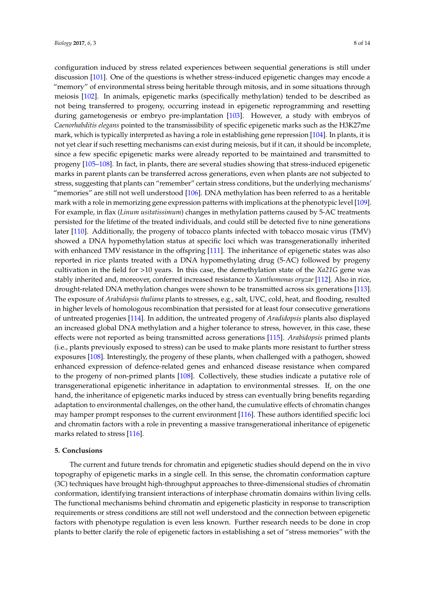configuration induced by stress related experiences between sequential generations is still under discussion [\[101\]](#page-12-20). One of the questions is whether stress-induced epigenetic changes may encode a "memory" of environmental stress being heritable through mitosis, and in some situations through meiosis [\[102\]](#page-13-0). In animals, epigenetic marks (specifically methylation) tended to be described as not being transferred to progeny, occurring instead in epigenetic reprogramming and resetting during gametogenesis or embryo pre-implantation [\[103\]](#page-13-1). However, a study with embryos of *Caenorhabditis elegans* pointed to the transmissibility of specific epigenetic marks such as the H3K27me mark, which is typically interpreted as having a role in establishing gene repression [\[104\]](#page-13-2). In plants, it is not yet clear if such resetting mechanisms can exist during meiosis, but if it can, it should be incomplete, since a few specific epigenetic marks were already reported to be maintained and transmitted to progeny [\[105–](#page-13-3)[108\]](#page-13-4). In fact, in plants, there are several studies showing that stress-induced epigenetic marks in parent plants can be transferred across generations, even when plants are not subjected to stress, suggesting that plants can "remember" certain stress conditions, but the underlying mechanisms' "memories" are still not well understood [\[106\]](#page-13-5). DNA methylation has been referred to as a heritable mark with a role in memorizing gene expression patterns with implications at the phenotypic level [\[109\]](#page-13-6). For example, in flax (*Linum usitatissimum*) changes in methylation patterns caused by 5-AC treatments persisted for the lifetime of the treated individuals, and could still be detected five to nine generations later [\[110\]](#page-13-7). Additionally, the progeny of tobacco plants infected with tobacco mosaic virus (TMV) showed a DNA hypomethylation status at specific loci which was transgenerationally inherited with enhanced TMV resistance in the offspring [\[111\]](#page-13-8). The inheritance of epigenetic states was also reported in rice plants treated with a DNA hypomethylating drug (5-AC) followed by progeny cultivation in the field for >10 years. In this case, the demethylation state of the *Xa21G* gene was stably inherited and, moreover, conferred increased resistance to *Xanthomonas oryzae* [\[112\]](#page-13-9). Also in rice, drought-related DNA methylation changes were shown to be transmitted across six generations [\[113\]](#page-13-10). The exposure of *Arabidopsis thaliana* plants to stresses, e.g., salt, UVC, cold, heat, and flooding, resulted in higher levels of homologous recombination that persisted for at least four consecutive generations of untreated progenies [\[114\]](#page-13-11). In addition, the untreated progeny of *Aradidopsis* plants also displayed an increased global DNA methylation and a higher tolerance to stress, however, in this case, these effects were not reported as being transmitted across generations [\[115\]](#page-13-12). *Arabidopsis* primed plants (i.e., plants previously exposed to stress) can be used to make plants more resistant to further stress exposures [\[108\]](#page-13-4). Interestingly, the progeny of these plants, when challenged with a pathogen, showed enhanced expression of defence-related genes and enhanced disease resistance when compared to the progeny of non-primed plants [\[108\]](#page-13-4). Collectively, these studies indicate a putative role of transgenerational epigenetic inheritance in adaptation to environmental stresses. If, on the one hand, the inheritance of epigenetic marks induced by stress can eventually bring benefits regarding adaptation to environmental challenges, on the other hand, the cumulative effects of chromatin changes may hamper prompt responses to the current environment [\[116\]](#page-13-13). These authors identified specific loci and chromatin factors with a role in preventing a massive transgenerational inheritance of epigenetic marks related to stress [\[116\]](#page-13-13).

# **5. Conclusions**

The current and future trends for chromatin and epigenetic studies should depend on the in vivo topography of epigenetic marks in a single cell. In this sense, the chromatin conformation capture (3C) techniques have brought high-throughput approaches to three-dimensional studies of chromatin conformation, identifying transient interactions of interphase chromatin domains within living cells. The functional mechanisms behind chromatin and epigenetic plasticity in response to transcription requirements or stress conditions are still not well understood and the connection between epigenetic factors with phenotype regulation is even less known. Further research needs to be done in crop plants to better clarify the role of epigenetic factors in establishing a set of "stress memories" with the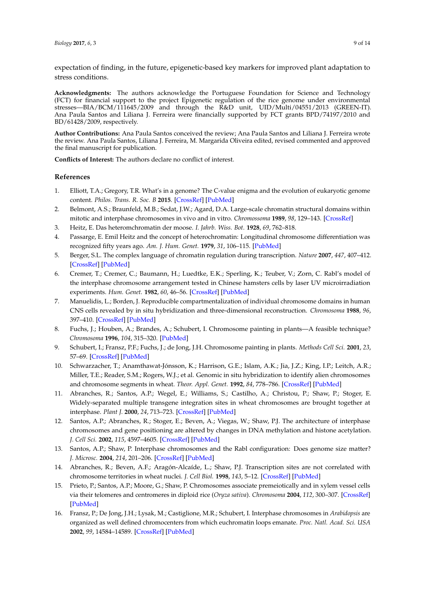expectation of finding, in the future, epigenetic-based key markers for improved plant adaptation to stress conditions.

**Acknowledgments:** The authors acknowledge the Portuguese Foundation for Science and Technology (FCT) for financial support to the project Epigenetic regulation of the rice genome under environmental stresses—BIA/BCM/111645/2009 and through the R&D unit, UID/Multi/04551/2013 (GREEN-IT). Ana Paula Santos and Liliana J. Ferreira were financially supported by FCT grants BPD/74197/2010 and BD/61428/2009, respectively.

**Author Contributions:** Ana Paula Santos conceived the review; Ana Paula Santos and Liliana J. Ferreira wrote the review. Ana Paula Santos, Liliana J. Ferreira, M. Margarida Oliveira edited, revised commented and approved the final manuscript for publication.

**Conflicts of Interest:** The authors declare no conflict of interest.

# **References**

- <span id="page-8-0"></span>1. Elliott, T.A.; Gregory, T.R. What's in a genome? The C-value enigma and the evolution of eukaryotic genome content. *Philos. Trans. R. Soc. B* **2015**. [\[CrossRef\]](http://dx.doi.org/10.1098/rstb.2014.0331) [\[PubMed\]](http://www.ncbi.nlm.nih.gov/pubmed/26323762)
- <span id="page-8-1"></span>2. Belmont, A.S.; Braunfeld, M.B.; Sedat, J.W.; Agard, D.A. Large-scale chromatin structural domains within mitotic and interphase chromosomes in vivo and in vitro. *Chromossoma* **1989**, *98*, 129–143. [\[CrossRef\]](http://dx.doi.org/10.1007/BF00291049)
- <span id="page-8-2"></span>3. Heitz, E. Das heteromchromatin der moose. *I. Jahrb. Wiss. Bot.* **1928**, *69*, 762–818.
- <span id="page-8-3"></span>4. Passarge, E. Emil Heitz and the concept of heterochromatin: Longitudinal chromosome differentiation was recognized fifty years ago. *Am. J. Hum. Genet.* **1979**, *31*, 106–115. [\[PubMed\]](http://www.ncbi.nlm.nih.gov/pubmed/377956)
- <span id="page-8-4"></span>5. Berger, S.L. The complex language of chromatin regulation during transcription. *Nature* **2007**, *447*, 407–412. [\[CrossRef\]](http://dx.doi.org/10.1038/nature05915) [\[PubMed\]](http://www.ncbi.nlm.nih.gov/pubmed/17522673)
- <span id="page-8-5"></span>6. Cremer, T.; Cremer, C.; Baumann, H.; Luedtke, E.K.; Sperling, K.; Teuber, V.; Zorn, C. Rabl's model of the interphase chromosome arrangement tested in Chinese hamsters cells by laser UV microirradiation experiments. *Hum. Genet.* **1982**, *60*, 46–56. [\[CrossRef\]](http://dx.doi.org/10.1007/BF00281263) [\[PubMed\]](http://www.ncbi.nlm.nih.gov/pubmed/7076247)
- <span id="page-8-6"></span>7. Manuelidis, L.; Borden, J. Reproducible compartmentalization of individual chromosome domains in human CNS cells revealed by in situ hybridization and three-dimensional reconstruction. *Chromosoma* **1988**, *96*, 397–410. [\[CrossRef\]](http://dx.doi.org/10.1007/BF00303033) [\[PubMed\]](http://www.ncbi.nlm.nih.gov/pubmed/3219911)
- <span id="page-8-7"></span>8. Fuchs, J.; Houben, A.; Brandes, A.; Schubert, I. Chromosome painting in plants—A feasible technique? *Chromosoma* **1996**, *104*, 315–320. [\[PubMed\]](http://www.ncbi.nlm.nih.gov/pubmed/8575242)
- <span id="page-8-8"></span>9. Schubert, I.; Fransz, P.F.; Fuchs, J.; de Jong, J.H. Chromosome painting in plants. *Methods Cell Sci.* **2001**, *23*, 57–69. [\[CrossRef\]](http://dx.doi.org/10.1023/A:1013137415093) [\[PubMed\]](http://www.ncbi.nlm.nih.gov/pubmed/11741144)
- <span id="page-8-9"></span>10. Schwarzacher, T.; Anamthawat-Jónsson, K.; Harrison, G.E.; Islam, A.K.; Jia, J.Z.; King, I.P.; Leitch, A.R.; Miller, T.E.; Reader, S.M.; Rogers, W.J.; et al. Genomic in situ hybridization to identify alien chromosomes and chromosome segments in wheat. *Theor. Appl. Genet.* **1992**, *84*, 778–786. [\[CrossRef\]](http://dx.doi.org/10.1007/BF00227384) [\[PubMed\]](http://www.ncbi.nlm.nih.gov/pubmed/24201474)
- <span id="page-8-15"></span>11. Abranches, R.; Santos, A.P.; Wegel, E.; Williams, S.; Castilho, A.; Christou, P.; Shaw, P.; Stoger, E. Widely-separated multiple transgene integration sites in wheat chromosomes are brought together at interphase. *Plant J.* **2000**, *24*, 713–723. [\[CrossRef\]](http://dx.doi.org/10.1046/j.1365-313x.2000.00908.x) [\[PubMed\]](http://www.ncbi.nlm.nih.gov/pubmed/11135106)
- <span id="page-8-11"></span>12. Santos, A.P.; Abranches, R.; Stoger, E.; Beven, A.; Viegas, W.; Shaw, P.J. The architecture of interphase chromosomes and gene positioning are altered by changes in DNA methylation and histone acetylation. *J. Cell Sci.* **2002**, *115*, 4597–4605. [\[CrossRef\]](http://dx.doi.org/10.1242/jcs.00160) [\[PubMed\]](http://www.ncbi.nlm.nih.gov/pubmed/12415004)
- <span id="page-8-10"></span>13. Santos, A.P.; Shaw, P. Interphase chromosomes and the Rabl configuration: Does genome size matter? *J. Microsc.* **2004**, *214*, 201–206. [\[CrossRef\]](http://dx.doi.org/10.1111/j.0022-2720.2004.01324.x) [\[PubMed\]](http://www.ncbi.nlm.nih.gov/pubmed/15102067)
- <span id="page-8-12"></span>14. Abranches, R.; Beven, A.F.; Aragón-Alcaíde, L.; Shaw, P.J. Transcription sites are not correlated with chromosome territories in wheat nuclei. *J. Cell Biol.* **1998**, *143*, 5–12. [\[CrossRef\]](http://dx.doi.org/10.1083/jcb.143.1.5) [\[PubMed\]](http://www.ncbi.nlm.nih.gov/pubmed/9763416)
- <span id="page-8-13"></span>15. Prieto, P.; Santos, A.P.; Moore, G.; Shaw, P. Chromosomes associate premeiotically and in xylem vessel cells via their telomeres and centromeres in diploid rice (*Oryza sativa*). *Chromosoma* **2004**, *112*, 300–307. [\[CrossRef\]](http://dx.doi.org/10.1007/s00412-004-0274-8) [\[PubMed\]](http://www.ncbi.nlm.nih.gov/pubmed/15007655)
- <span id="page-8-14"></span>16. Fransz, P.; De Jong, J.H.; Lysak, M.; Castiglione, M.R.; Schubert, I. Interphase chromosomes in *Arabidopsis* are organized as well defined chromocenters from which euchromatin loops emanate. *Proc. Natl. Acad. Sci. USA* **2002**, *99*, 14584–14589. [\[CrossRef\]](http://dx.doi.org/10.1073/pnas.212325299) [\[PubMed\]](http://www.ncbi.nlm.nih.gov/pubmed/12384572)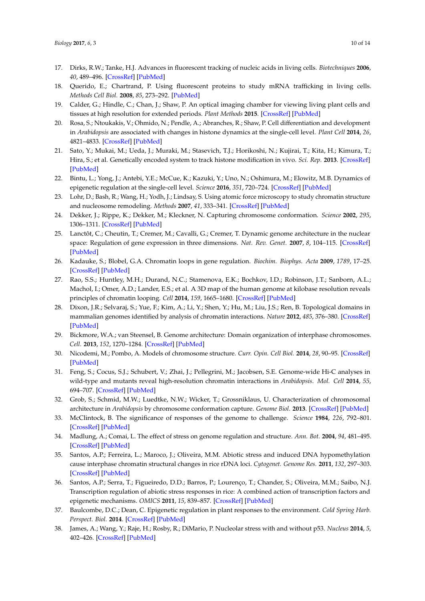- <span id="page-9-0"></span>17. Dirks, R.W.; Tanke, H.J. Advances in fluorescent tracking of nucleic acids in living cells. *Biotechniques* **2006**, *40*, 489–496. [\[CrossRef\]](http://dx.doi.org/10.2144/000112121) [\[PubMed\]](http://www.ncbi.nlm.nih.gov/pubmed/16629396)
- <span id="page-9-1"></span>18. Querido, E.; Chartrand, P. Using fluorescent proteins to study mRNA trafficking in living cells. *Methods Cell Biol.* **2008**, *85*, 273–292. [\[PubMed\]](http://www.ncbi.nlm.nih.gov/pubmed/18155467)
- <span id="page-9-2"></span>19. Calder, G.; Hindle, C.; Chan, J.; Shaw, P. An optical imaging chamber for viewing living plant cells and tissues at high resolution for extended periods. *Plant Methods* **2015**. [\[CrossRef\]](http://dx.doi.org/10.1186/s13007-015-0065-7) [\[PubMed\]](http://www.ncbi.nlm.nih.gov/pubmed/25806083)
- <span id="page-9-3"></span>20. Rosa, S.; Ntoukakis, V.; Ohmido, N.; Pendle, A.; Abranches, R.; Shaw, P. Cell differentiation and development in *Arabidopsis* are associated with changes in histone dynamics at the single-cell level. *Plant Cell* **2014**, *26*, 4821–4833. [\[CrossRef\]](http://dx.doi.org/10.1105/tpc.114.133793) [\[PubMed\]](http://www.ncbi.nlm.nih.gov/pubmed/25549670)
- <span id="page-9-4"></span>21. Sato, Y.; Mukai, M.; Ueda, J.; Muraki, M.; Stasevich, T.J.; Horikoshi, N.; Kujirai, T.; Kita, H.; Kimura, T.; Hira, S.; et al. Genetically encoded system to track histone modification in vivo. *Sci. Rep.* **2013**. [\[CrossRef\]](http://dx.doi.org/10.1038/srep02436) [\[PubMed\]](http://www.ncbi.nlm.nih.gov/pubmed/23942372)
- <span id="page-9-5"></span>22. Bintu, L.; Yong, J.; Antebi, Y.E.; McCue, K.; Kazuki, Y.; Uno, N.; Oshimura, M.; Elowitz, M.B. Dynamics of epigenetic regulation at the single-cell level. *Science* **2016**, *351*, 720–724. [\[CrossRef\]](http://dx.doi.org/10.1126/science.aab2956) [\[PubMed\]](http://www.ncbi.nlm.nih.gov/pubmed/26912859)
- <span id="page-9-6"></span>23. Lohr, D.; Bash, R.; Wang, H.; Yodh, J.; Lindsay, S. Using atomic force microscopy to study chromatin structure and nucleosome remodeling. *Methods* **2007**, *41*, 333–341. [\[CrossRef\]](http://dx.doi.org/10.1016/j.ymeth.2006.08.016) [\[PubMed\]](http://www.ncbi.nlm.nih.gov/pubmed/17309844)
- <span id="page-9-7"></span>24. Dekker, J.; Rippe, K.; Dekker, M.; Kleckner, N. Capturing chromosome conformation. *Science* **2002**, *295*, 1306–1311. [\[CrossRef\]](http://dx.doi.org/10.1126/science.1067799) [\[PubMed\]](http://www.ncbi.nlm.nih.gov/pubmed/11847345)
- 25. Lanctôt, C.; Cheutin, T.; Cremer, M.; Cavalli, G.; Cremer, T. Dynamic genome architecture in the nuclear space: Regulation of gene expression in three dimensions. *Nat. Rev. Genet.* **2007**, *8*, 104–115. [\[CrossRef\]](http://dx.doi.org/10.1038/nrg2041) [\[PubMed\]](http://www.ncbi.nlm.nih.gov/pubmed/17230197)
- 26. Kadauke, S.; Blobel, G.A. Chromatin loops in gene regulation. *Biochim. Biophys. Acta* **2009**, *1789*, 17–25. [\[CrossRef\]](http://dx.doi.org/10.1016/j.bbagrm.2008.07.002) [\[PubMed\]](http://www.ncbi.nlm.nih.gov/pubmed/18675948)
- <span id="page-9-8"></span>27. Rao, S.S.; Huntley, M.H.; Durand, N.C.; Stamenova, E.K.; Bochkov, I.D.; Robinson, J.T.; Sanborn, A.L.; Machol, I.; Omer, A.D.; Lander, E.S.; et al. A 3D map of the human genome at kilobase resolution reveals principles of chromatin looping. *Cell* **2014**, *159*, 1665–1680. [\[CrossRef\]](http://dx.doi.org/10.1016/j.cell.2014.11.021) [\[PubMed\]](http://www.ncbi.nlm.nih.gov/pubmed/25497547)
- <span id="page-9-9"></span>28. Dixon, J.R.; Selvaraj, S.; Yue, F.; Kim, A.; Li, Y.; Shen, Y.; Hu, M.; Liu, J.S.; Ren, B. Topological domains in mammalian genomes identified by analysis of chromatin interactions. *Nature* **2012**, *485*, 376–380. [\[CrossRef\]](http://dx.doi.org/10.1038/nature11082) [\[PubMed\]](http://www.ncbi.nlm.nih.gov/pubmed/22495300)
- 29. Bickmore, W.A.; van Steensel, B. Genome architecture: Domain organization of interphase chromosomes. *Cell.* **2013**, *152*, 1270–1284. [\[CrossRef\]](http://dx.doi.org/10.1016/j.cell.2013.02.001) [\[PubMed\]](http://www.ncbi.nlm.nih.gov/pubmed/23498936)
- <span id="page-9-10"></span>30. Nicodemi, M.; Pombo, A. Models of chromosome structure. *Curr. Opin. Cell Biol.* **2014**, *28*, 90–95. [\[CrossRef\]](http://dx.doi.org/10.1016/j.ceb.2014.04.004) [\[PubMed\]](http://www.ncbi.nlm.nih.gov/pubmed/24804566)
- <span id="page-9-11"></span>31. Feng, S.; Cocus, S.J.; Schubert, V.; Zhai, J.; Pellegrini, M.; Jacobsen, S.E. Genome-wide Hi-C analyses in wild-type and mutants reveal high-resolution chromatin interactions in *Arabidopsis*. *Mol. Cell* **2014**, *55*, 694–707. [\[CrossRef\]](http://dx.doi.org/10.1016/j.molcel.2014.07.008) [\[PubMed\]](http://www.ncbi.nlm.nih.gov/pubmed/25132175)
- <span id="page-9-12"></span>32. Grob, S.; Schmid, M.W.; Luedtke, N.W.; Wicker, T.; Grossniklaus, U. Characterization of chromosomal architecture in *Arabidopsis* by chromosome conformation capture. *Genome Biol.* **2013**. [\[CrossRef\]](http://dx.doi.org/10.1186/gb-2013-14-11-r129) [\[PubMed\]](http://www.ncbi.nlm.nih.gov/pubmed/24267747)
- <span id="page-9-13"></span>33. McClintock, B. The significance of responses of the genome to challenge. *Science* **1984**, *226*, 792–801. [\[CrossRef\]](http://dx.doi.org/10.1126/science.15739260) [\[PubMed\]](http://www.ncbi.nlm.nih.gov/pubmed/15739260)
- <span id="page-9-14"></span>34. Madlung, A.; Comai, L. The effect of stress on genome regulation and structure. *Ann. Bot.* **2004**, *94*, 481–495. [\[CrossRef\]](http://dx.doi.org/10.1093/aob/mch172) [\[PubMed\]](http://www.ncbi.nlm.nih.gov/pubmed/15319229)
- <span id="page-9-15"></span>35. Santos, A.P.; Ferreira, L.; Maroco, J.; Oliveira, M.M. Abiotic stress and induced DNA hypomethylation cause interphase chromatin structural changes in rice rDNA loci. *Cytogenet. Genome Res.* **2011**, *132*, 297–303. [\[CrossRef\]](http://dx.doi.org/10.1159/000322287) [\[PubMed\]](http://www.ncbi.nlm.nih.gov/pubmed/21307636)
- <span id="page-9-16"></span>36. Santos, A.P.; Serra, T.; Figueiredo, D.D.; Barros, P.; Lourenço, T.; Chander, S.; Oliveira, M.M.; Saibo, N.J. Transcription regulation of abiotic stress responses in rice: A combined action of transcription factors and epigenetic mechanisms. *OMICS* **2011**, *15*, 839–857. [\[CrossRef\]](http://dx.doi.org/10.1089/omi.2011.0095) [\[PubMed\]](http://www.ncbi.nlm.nih.gov/pubmed/22136664)
- <span id="page-9-17"></span>37. Baulcombe, D.C.; Dean, C. Epigenetic regulation in plant responses to the environment. *Cold Spring Harb. Perspect. Biol.* **2014**. [\[CrossRef\]](http://dx.doi.org/10.1101/cshperspect.a019471) [\[PubMed\]](http://www.ncbi.nlm.nih.gov/pubmed/25183832)
- <span id="page-9-18"></span>38. James, A.; Wang, Y.; Raje, H.; Rosby, R.; DiMario, P. Nucleolar stress with and without p53. *Nucleus* **2014**, *5*, 402–426. [\[CrossRef\]](http://dx.doi.org/10.4161/nucl.32235) [\[PubMed\]](http://www.ncbi.nlm.nih.gov/pubmed/25482194)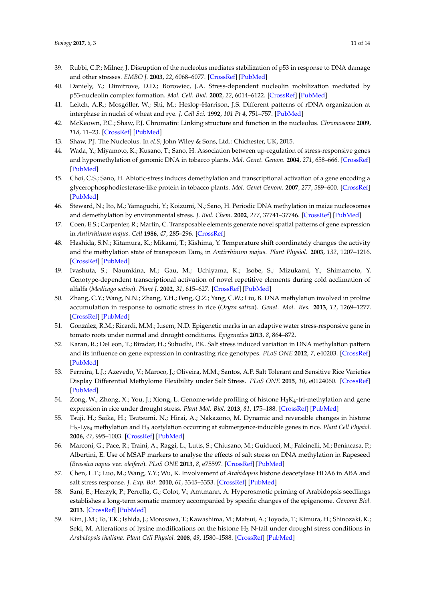- <span id="page-10-0"></span>39. Rubbi, C.P.; Milner, J. Disruption of the nucleolus mediates stabilization of p53 in response to DNA damage and other stresses. *EMBO J.* **2003**, *22*, 6068–6077. [\[CrossRef\]](http://dx.doi.org/10.1093/emboj/cdg579) [\[PubMed\]](http://www.ncbi.nlm.nih.gov/pubmed/14609953)
- <span id="page-10-1"></span>40. Daniely, Y.; Dimitrove, D.D.; Borowiec, J.A. Stress-dependent nucleolin mobilization mediated by p53-nucleolin complex formation. *Mol. Cell. Biol.* **2002**, *22*, 6014–6122. [\[CrossRef\]](http://dx.doi.org/10.1128/MCB.22.16.6014-6022.2002) [\[PubMed\]](http://www.ncbi.nlm.nih.gov/pubmed/12138209)
- <span id="page-10-2"></span>41. Leitch, A.R.; Mosgöller, W.; Shi, M.; Heslop-Harrison, J.S. Different patterns of rDNA organization at interphase in nuclei of wheat and rye. *J. Cell Sci.* **1992**, *101 Pt 4*, 751–757. [\[PubMed\]](http://www.ncbi.nlm.nih.gov/pubmed/1527177)
- <span id="page-10-3"></span>42. McKeown, P.C.; Shaw, P.J. Chromatin: Linking structure and function in the nucleolus. *Chromosoma* **2009**, *118*, 11–23. [\[CrossRef\]](http://dx.doi.org/10.1007/s00412-008-0184-2) [\[PubMed\]](http://www.ncbi.nlm.nih.gov/pubmed/18925405)
- <span id="page-10-4"></span>43. Shaw, P.J. The Nucleolus. In *eLS*; John Wiley & Sons, Ltd.: Chichester, UK, 2015.
- <span id="page-10-5"></span>44. Wada, Y.; Miyamoto, K.; Kusano, T.; Sano, H. Association between up-regulation of stress-responsive genes and hypomethylation of genomic DNA in tobacco plants. *Mol. Genet. Genom.* **2004**, *271*, 658–666. [\[CrossRef\]](http://dx.doi.org/10.1007/s00438-004-1018-4) [\[PubMed\]](http://www.ncbi.nlm.nih.gov/pubmed/15148604)
- <span id="page-10-6"></span>45. Choi, C.S.; Sano, H. Abiotic-stress induces demethylation and transcriptional activation of a gene encoding a glycerophosphodiesterase-like protein in tobacco plants. *Mol. Genet Genom.* **2007**, *277*, 589–600. [\[CrossRef\]](http://dx.doi.org/10.1007/s00438-007-0209-1) [\[PubMed\]](http://www.ncbi.nlm.nih.gov/pubmed/17273870)
- <span id="page-10-7"></span>46. Steward, N.; Ito, M.; Yamaguchi, Y.; Koizumi, N.; Sano, H. Periodic DNA methylation in maize nucleosomes and demethylation by environmental stress. *J. Biol. Chem.* **2002**, *277*, 37741–37746. [\[CrossRef\]](http://dx.doi.org/10.1074/jbc.M204050200) [\[PubMed\]](http://www.ncbi.nlm.nih.gov/pubmed/12124387)
- <span id="page-10-8"></span>47. Coen, E.S.; Carpenter, R.; Martin, C. Transposable elements generate novel spatial patterns of gene expression in *Antirrhinum majus*. *Cell* **1986**, *47*, 285–296. [\[CrossRef\]](http://dx.doi.org/10.1016/0092-8674(86)90451-4)
- <span id="page-10-9"></span>48. Hashida, S.N.; Kitamura, K.; Mikami, T.; Kishima, Y. Temperature shift coordinately changes the activity and the methylation state of transposon Tam<sup>3</sup> in *Antirrhinum majus*. *Plant Physiol.* **2003**, *132*, 1207–1216. [\[CrossRef\]](http://dx.doi.org/10.1104/pp.102.017533) [\[PubMed\]](http://www.ncbi.nlm.nih.gov/pubmed/12857803)
- <span id="page-10-10"></span>49. Ivashuta, S.; Naumkina, M.; Gau, M.; Uchiyama, K.; Isobe, S.; Mizukami, Y.; Shimamoto, Y. Genotype-dependent transcriptional activation of novel repetitive elements during cold acclimation of alfalfa (*Medicago sativa*). *Plant J.* **2002**, *31*, 615–627. [\[CrossRef\]](http://dx.doi.org/10.1046/j.1365-313X.2002.01383.x) [\[PubMed\]](http://www.ncbi.nlm.nih.gov/pubmed/12207651)
- <span id="page-10-11"></span>50. Zhang, C.Y.; Wang, N.N.; Zhang, Y.H.; Feng, Q.Z.; Yang, C.W.; Liu, B. DNA methylation involved in proline accumulation in response to osmotic stress in rice (*Oryza sativa*). *Genet. Mol. Res.* **2013**, *12*, 1269–1277. [\[CrossRef\]](http://dx.doi.org/10.4238/2013.April.17.5) [\[PubMed\]](http://www.ncbi.nlm.nih.gov/pubmed/23661451)
- <span id="page-10-12"></span>51. González, R.M.; Ricardi, M.M.; Iusem, N.D. Epigenetic marks in an adaptive water stress-responsive gene in tomato roots under normal and drought conditions. *Epigenetics* **2013**, *8*, 864–872.
- <span id="page-10-13"></span>52. Karan, R.; DeLeon, T.; Biradar, H.; Subudhi, P.K. Salt stress induced variation in DNA methylation pattern and its influence on gene expression in contrasting rice genotypes. *PLoS ONE* **2012**, *7*, e40203. [\[CrossRef\]](http://dx.doi.org/10.1371/journal.pone.0040203) [\[PubMed\]](http://www.ncbi.nlm.nih.gov/pubmed/22761959)
- <span id="page-10-14"></span>53. Ferreira, L.J.; Azevedo, V.; Maroco, J.; Oliveira, M.M.; Santos, A.P. Salt Tolerant and Sensitive Rice Varieties Display Differential Methylome Flexibility under Salt Stress. *PLoS ONE* **2015**, *10*, e0124060. [\[CrossRef\]](http://dx.doi.org/10.1371/journal.pone.0124060) [\[PubMed\]](http://www.ncbi.nlm.nih.gov/pubmed/25932633)
- <span id="page-10-15"></span>54.  $Z$ ong, W.; Zhong, X.; You, J.; Xiong, L. Genome-wide profiling of histone  $\rm H_3K_4$ -tri-methylation and gene expression in rice under drought stress. *Plant Mol. Biol.* **2013**, *81*, 175–188. [\[CrossRef\]](http://dx.doi.org/10.1007/s11103-012-9990-2) [\[PubMed\]](http://www.ncbi.nlm.nih.gov/pubmed/23192746)
- <span id="page-10-16"></span>55. Tsuji, H.; Saika, H.; Tsutsumi, N.; Hirai, A.; Nakazono, M. Dynamic and reversible changes in histone H<sup>3</sup> -Lys<sup>4</sup> methylation and H<sup>3</sup> acetylation occurring at submergence-inducible genes in rice. *Plant Cell Physiol.* **2006**, *47*, 995–1003. [\[CrossRef\]](http://dx.doi.org/10.1093/pcp/pcj072) [\[PubMed\]](http://www.ncbi.nlm.nih.gov/pubmed/16774928)
- <span id="page-10-17"></span>56. Marconi, G.; Pace, R.; Traini, A.; Raggi, L.; Lutts, S.; Chiusano, M.; Guiducci, M.; Falcinelli, M.; Benincasa, P.; Albertini, E. Use of MSAP markers to analyse the effects of salt stress on DNA methylation in Rapeseed (*Brassica napus* var. *oleifera*). *PLoS ONE* **2013**, *8*, e75597. [\[CrossRef\]](http://dx.doi.org/10.1371/journal.pone.0075597) [\[PubMed\]](http://www.ncbi.nlm.nih.gov/pubmed/24086583)
- <span id="page-10-18"></span>57. Chen, L.T.; Luo, M.; Wang, Y.Y.; Wu, K. Involvement of *Arabidopsis* histone deacetylase HDA6 in ABA and salt stress response. *J. Exp. Bot.* **2010**, *61*, 3345–3353. [\[CrossRef\]](http://dx.doi.org/10.1093/jxb/erq154) [\[PubMed\]](http://www.ncbi.nlm.nih.gov/pubmed/20519338)
- <span id="page-10-19"></span>58. Sani, E.; Herzyk, P.; Perrella, G.; Colot, V.; Amtmann, A. Hyperosmotic priming of Arabidopsis seedlings establishes a long-term somatic memory accompanied by specific changes of the epigenome. *Genome Biol.* **2013**. [\[CrossRef\]](http://dx.doi.org/10.1186/gb-2013-14-6-r59) [\[PubMed\]](http://www.ncbi.nlm.nih.gov/pubmed/23767915)
- <span id="page-10-20"></span>59. Kim, J.M.; To, T.K.; Ishida, J.; Morosawa, T.; Kawashima, M.; Matsui, A.; Toyoda, T.; Kimura, H.; Shinozaki, K.; Seki, M. Alterations of lysine modifications on the histone  $H_3$  N-tail under drought stress conditions in *Arabidopsis thaliana*. *Plant Cell Physiol.* **2008**, *49*, 1580–1588. [\[CrossRef\]](http://dx.doi.org/10.1093/pcp/pcn133) [\[PubMed\]](http://www.ncbi.nlm.nih.gov/pubmed/18779215)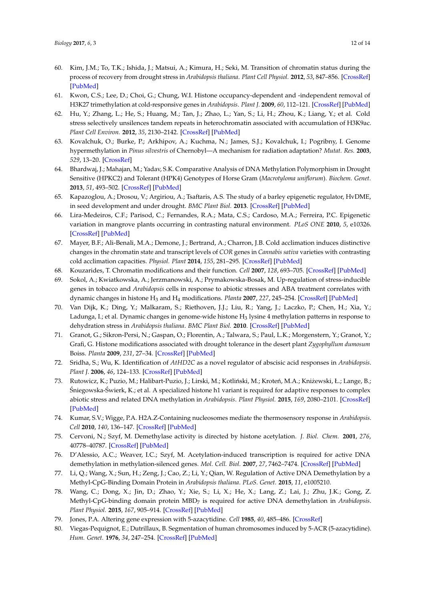- <span id="page-11-0"></span>60. Kim, J.M.; To, T.K.; Ishida, J.; Matsui, A.; Kimura, H.; Seki, M. Transition of chromatin status during the process of recovery from drought stress in *Arabidopsis thaliana*. *Plant Cell Physiol.* **2012**, *53*, 847–856. [\[CrossRef\]](http://dx.doi.org/10.1093/pcp/pcs053) [\[PubMed\]](http://www.ncbi.nlm.nih.gov/pubmed/22505693)
- <span id="page-11-1"></span>61. Kwon, C.S.; Lee, D.; Choi, G.; Chung, W.I. Histone occupancy-dependent and -independent removal of H3K27 trimethylation at cold-responsive genes in *Arabidopsis*. *Plant J.* **2009**, *60*, 112–121. [\[CrossRef\]](http://dx.doi.org/10.1111/j.1365-313X.2009.03938.x) [\[PubMed\]](http://www.ncbi.nlm.nih.gov/pubmed/19500304)
- <span id="page-11-2"></span>62. Hu, Y.; Zhang, L.; He, S.; Huang, M.; Tan, J.; Zhao, L.; Yan, S.; Li, H.; Zhou, K.; Liang, Y.; et al. Cold stress selectively unsilences tandem repeats in heterochromatin associated with accumulation of H3K9ac. *Plant Cell Environ.* **2012**, *35*, 2130–2142. [\[CrossRef\]](http://dx.doi.org/10.1111/j.1365-3040.2012.02541.x) [\[PubMed\]](http://www.ncbi.nlm.nih.gov/pubmed/22616903)
- <span id="page-11-3"></span>63. Kovalchuk, O.; Burke, P.; Arkhipov, A.; Kuchma, N.; James, S.J.; Kovalchuk, I.; Pogribny, I. Genome hypermethylation in *Pinus silvestris* of Chernobyl—A mechanism for radiation adaptation? *Mutat. Res.* **2003**, *529*, 13–20. [\[CrossRef\]](http://dx.doi.org/10.1016/S0027-5107(03)00103-9)
- <span id="page-11-4"></span>64. Bhardwaj, J.; Mahajan, M.; Yadav, S.K. Comparative Analysis of DNA Methylation Polymorphism in Drought Sensitive (HPKC2) and Tolerant (HPK4) Genotypes of Horse Gram (*Macrotyloma uniflorum*). *Biochem. Genet.* **2013**, *51*, 493–502. [\[CrossRef\]](http://dx.doi.org/10.1007/s10528-013-9580-2) [\[PubMed\]](http://www.ncbi.nlm.nih.gov/pubmed/23455692)
- <span id="page-11-5"></span>65. Kapazoglou, A.; Drosou, V.; Argiriou, A.; Tsaftaris, A.S. The study of a barley epigenetic regulator, HvDME, in seed development and under drought. *BMC Plant Biol.* **2013**. [\[CrossRef\]](http://dx.doi.org/10.1186/1471-2229-13-172) [\[PubMed\]](http://www.ncbi.nlm.nih.gov/pubmed/24175960)
- <span id="page-11-6"></span>66. Lira-Medeiros, C.F.; Parisod, C.; Fernandes, R.A.; Mata, C.S.; Cardoso, M.A.; Ferreira, P.C. Epigenetic variation in mangrove plants occurring in contrasting natural environment. *PLoS ONE* **2010**, *5*, e10326. [\[CrossRef\]](http://dx.doi.org/10.1371/journal.pone.0010326) [\[PubMed\]](http://www.ncbi.nlm.nih.gov/pubmed/20436669)
- <span id="page-11-7"></span>67. Mayer, B.F.; Ali-Benali, M.A.; Demone, J.; Bertrand, A.; Charron, J.B. Cold acclimation induces distinctive changes in the chromatin state and transcript levels of *COR* genes in *Cannabis sativa* varieties with contrasting cold acclimation capacities. *Physiol. Plant* **2014**, *155*, 281–295. [\[CrossRef\]](http://dx.doi.org/10.1111/ppl.12318) [\[PubMed\]](http://www.ncbi.nlm.nih.gov/pubmed/25534661)
- <span id="page-11-8"></span>68. Kouzarides, T. Chromatin modifications and their function. *Cell* **2007**, *128*, 693–705. [\[CrossRef\]](http://dx.doi.org/10.1016/j.cell.2007.02.005) [\[PubMed\]](http://www.ncbi.nlm.nih.gov/pubmed/17320507)
- <span id="page-11-9"></span>69. Sokol, A.; Kwiatkowska, A.; Jerzmanowski, A.; Prymakowska-Bosak, M. Up-regulation of stress-inducible genes in tobacco and *Arabidopsis* cells in response to abiotic stresses and ABA treatment correlates with dynamic changes in histone H<sup>3</sup> and H<sup>4</sup> modifications. *Planta* **2007**, *227*, 245–254. [\[CrossRef\]](http://dx.doi.org/10.1007/s00425-007-0612-1) [\[PubMed\]](http://www.ncbi.nlm.nih.gov/pubmed/17721787)
- 70. Van Dijk, K.; Ding, Y.; Malkaram, S.; Riethoven, J.J.; Liu, R.; Yang, J.; Laczko, P.; Chen, H.; Xia, Y.; Ladunga, I.; et al. Dynamic changes in genome-wide histone  ${\rm H_3}$  lysine 4 methylation patterns in response to dehydration stress in *Arabidopsis thaliana*. *BMC Plant Biol.* **2010**. [\[CrossRef\]](http://dx.doi.org/10.1186/1471-2229-10-238) [\[PubMed\]](http://www.ncbi.nlm.nih.gov/pubmed/21050490)
- <span id="page-11-10"></span>71. Granot, G.; Sikron-Persi, N.; Gaspan, O.; Florentin, A.; Talwara, S.; Paul, L.K.; Morgenstern, Y.; Granot, Y.; Grafi, G. Histone modifications associated with drought tolerance in the desert plant *Zygophyllum dumosum* Boiss. *Planta* **2009**, *231*, 27–34. [\[CrossRef\]](http://dx.doi.org/10.1007/s00425-009-1026-z) [\[PubMed\]](http://www.ncbi.nlm.nih.gov/pubmed/19809832)
- <span id="page-11-11"></span>72. Sridha, S.; Wu, K. Identification of *AtHD2C* as a novel regulator of abscisic acid responses in *Arabidopsis*. *Plant J.* **2006**, *46*, 124–133. [\[CrossRef\]](http://dx.doi.org/10.1111/j.1365-313X.2006.02678.x) [\[PubMed\]](http://www.ncbi.nlm.nih.gov/pubmed/16553900)
- <span id="page-11-12"></span>73. Rutowicz, K.; Puzio, M.; Halibart-Puzio, J.; Lirski, M.; Kotliński, M.; Kroteń, M.A.; Kniżewski, Ł.; Lange, B.;  $\hat{\mathsf{S}}$ niegowska- $\hat{\mathsf{S}}$ wierk, K.; et al. A specialized histone h1 variant is required for adaptive responses to complex abiotic stress and related DNA methylation in *Arabidopsis*. *Plant Physiol.* **2015**, *169*, 2080–2101. [\[CrossRef\]](http://dx.doi.org/10.1104/pp.15.00493) [\[PubMed\]](http://www.ncbi.nlm.nih.gov/pubmed/26351307)
- <span id="page-11-13"></span>74. Kumar, S.V.; Wigge, P.A. H2A.Z-Containing nucleosomes mediate the thermosensory response in *Arabidopsis*. *Cell* **2010**, *140*, 136–147. [\[CrossRef\]](http://dx.doi.org/10.1016/j.cell.2009.11.006) [\[PubMed\]](http://www.ncbi.nlm.nih.gov/pubmed/20079334)
- <span id="page-11-14"></span>75. Cervoni, N.; Szyf, M. Demethylase activity is directed by histone acetylation. *J. Biol. Chem.* **2001**, *276*, 40778–40787. [\[CrossRef\]](http://dx.doi.org/10.1074/jbc.M103921200) [\[PubMed\]](http://www.ncbi.nlm.nih.gov/pubmed/11524416)
- <span id="page-11-15"></span>76. D'Alessio, A.C.; Weaver, I.C.; Szyf, M. Acetylation-induced transcription is required for active DNA demethylation in methylation-silenced genes. *Mol. Cell. Biol.* **2007**, *27*, 7462–7474. [\[CrossRef\]](http://dx.doi.org/10.1128/MCB.01120-07) [\[PubMed\]](http://www.ncbi.nlm.nih.gov/pubmed/17709385)
- <span id="page-11-16"></span>77. Li, Q.; Wang, X.; Sun, H.; Zeng, J.; Cao, Z.; Li, Y.; Qian, W. Regulation of Active DNA Demethylation by a Methyl-CpG-Binding Domain Protein in *Arabidopsis thaliana*. *PLoS. Genet.* **2015**, *11*, e1005210.
- <span id="page-11-17"></span>78. Wang, C.; Dong, X.; Jin, D.; Zhao, Y.; Xie, S.; Li, X.; He, X.; Lang, Z.; Lai, J.; Zhu, J.K.; Gong, Z. Methyl-CpG-binding domain protein MBD<sup>7</sup> is required for active DNA demethylation in *Arabidopsis*. *Plant Physiol.* **2015**, *167*, 905–914. [\[CrossRef\]](http://dx.doi.org/10.1104/pp.114.252106) [\[PubMed\]](http://www.ncbi.nlm.nih.gov/pubmed/25593350)
- <span id="page-11-18"></span>79. Jones, P.A. Altering gene expression with 5-azacytidine. *Cell* **1985**, *40*, 485–486. [\[CrossRef\]](http://dx.doi.org/10.1016/0092-8674(85)90192-8)
- <span id="page-11-19"></span>80. Viegas-Pequignot, E.; Dutrillaux, B. Segmentation of human chromosomes induced by 5-ACR (5-azacytidine). *Hum. Genet.* **1976**, *34*, 247–254. [\[CrossRef\]](http://dx.doi.org/10.1007/BF00295287) [\[PubMed\]](http://www.ncbi.nlm.nih.gov/pubmed/63442)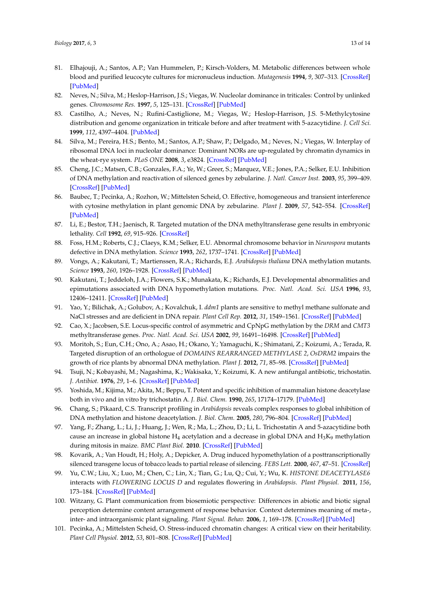- <span id="page-12-0"></span>81. Elhajouji, A.; Santos, A.P.; Van Hummelen, P.; Kirsch-Volders, M. Metabolic differences between whole blood and purified leucocyte cultures for micronucleus induction. *Mutagenesis* **1994**, *9*, 307–313. [\[CrossRef\]](http://dx.doi.org/10.1093/mutage/9.4.307) [\[PubMed\]](http://www.ncbi.nlm.nih.gov/pubmed/7968571)
- <span id="page-12-1"></span>82. Neves, N.; Silva, M.; Heslop-Harrison, J.S.; Viegas, W. Nucleolar dominance in triticales: Control by unlinked genes. *Chromosome Res.* **1997**, *5*, 125–131. [\[CrossRef\]](http://dx.doi.org/10.1023/A:1018470208730) [\[PubMed\]](http://www.ncbi.nlm.nih.gov/pubmed/9146916)
- <span id="page-12-2"></span>83. Castilho, A.; Neves, N.; Rufini-Castiglione, M.; Viegas, W.; Heslop-Harrison, J.S. 5-Methylcytosine distribution and genome organization in triticale before and after treatment with 5-azacytidine. *J. Cell Sci.* **1999**, *112*, 4397–4404. [\[PubMed\]](http://www.ncbi.nlm.nih.gov/pubmed/10564657)
- <span id="page-12-3"></span>84. Silva, M.; Pereira, H.S.; Bento, M.; Santos, A.P.; Shaw, P.; Delgado, M.; Neves, N.; Viegas, W. Interplay of ribosomal DNA loci in nucleolar dominance: Dominant NORs are up-regulated by chromatin dynamics in the wheat-rye system. *PLoS ONE* **2008**, *3*, e3824. [\[CrossRef\]](http://dx.doi.org/10.1371/journal.pone.0003824) [\[PubMed\]](http://www.ncbi.nlm.nih.gov/pubmed/19048103)
- <span id="page-12-4"></span>85. Cheng, J.C.; Matsen, C.B.; Gonzales, F.A.; Ye, W.; Greer, S.; Marquez, V.E.; Jones, P.A.; Selker, E.U. Inhibition of DNA methylation and reactivation of silenced genes by zebularine. *J. Natl. Cancer Inst.* **2003**, *95*, 399–409. [\[CrossRef\]](http://dx.doi.org/10.1093/jnci/95.5.399) [\[PubMed\]](http://www.ncbi.nlm.nih.gov/pubmed/12618505)
- <span id="page-12-5"></span>86. Baubec, T.; Pecinka, A.; Rozhon, W.; Mittelsten Scheid, O. Effective, homogeneous and transient interference with cytosine methylation in plant genomic DNA by zebularine. *Plant J.* **2009**, *57*, 542–554. [\[CrossRef\]](http://dx.doi.org/10.1111/j.1365-313X.2008.03699.x) [\[PubMed\]](http://www.ncbi.nlm.nih.gov/pubmed/18826433)
- <span id="page-12-6"></span>87. Li, E.; Bestor, T.H.; Jaenisch, R. Targeted mutation of the DNA methyltransferase gene results in embryonic lethality. *Cell* **1992**, *69*, 915–926. [\[CrossRef\]](http://dx.doi.org/10.1016/0092-8674(92)90611-F)
- <span id="page-12-7"></span>88. Foss, H.M.; Roberts, C.J.; Claeys, K.M.; Selker, E.U. Abnormal chromosome behavior in *Neurospora* mutants defective in DNA methylation. *Science* **1993**, *262*, 1737–1741. [\[CrossRef\]](http://dx.doi.org/10.1126/science.7505062) [\[PubMed\]](http://www.ncbi.nlm.nih.gov/pubmed/7505062)
- <span id="page-12-8"></span>89. Vongs, A.; Kakutani, T.; Martienssen, R.A.; Richards, E.J. *Arabidopsis thaliana* DNA methylation mutants. *Science* **1993**, *260*, 1926–1928. [\[CrossRef\]](http://dx.doi.org/10.1126/science.8316832) [\[PubMed\]](http://www.ncbi.nlm.nih.gov/pubmed/8316832)
- <span id="page-12-9"></span>90. Kakutani, T.; Jeddeloh, J.A.; Flowers, S.K.; Munakata, K.; Richards, E.J. Developmental abnormalities and epimutations associated with DNA hypomethylation mutations. *Proc. Natl. Acad. Sci. USA* **1996**, *93*, 12406–12411. [\[CrossRef\]](http://dx.doi.org/10.1073/pnas.93.22.12406) [\[PubMed\]](http://www.ncbi.nlm.nih.gov/pubmed/8901594)
- <span id="page-12-10"></span>91. Yao, Y.; Bilichak, A.; Golubov, A.; Kovalchuk, I. *ddm1* plants are sensitive to methyl methane sulfonate and NaCl stresses and are deficient in DNA repair. *Plant Cell Rep.* **2012**, *31*, 1549–1561. [\[CrossRef\]](http://dx.doi.org/10.1007/s00299-012-1269-1) [\[PubMed\]](http://www.ncbi.nlm.nih.gov/pubmed/22538524)
- <span id="page-12-11"></span>92. Cao, X.; Jacobsen, S.E. Locus-specific control of asymmetric and CpNpG methylation by the *DRM* and *CMT3* methyltransferase genes. *Proc. Natl. Acad. Sci. USA* **2002**, *99*, 16491–16498. [\[CrossRef\]](http://dx.doi.org/10.1073/pnas.162371599) [\[PubMed\]](http://www.ncbi.nlm.nih.gov/pubmed/12151602)
- <span id="page-12-12"></span>93. Moritoh, S.; Eun, C.H.; Ono, A.; Asao, H.; Okano, Y.; Yamaguchi, K.; Shimatani, Z.; Koizumi, A.; Terada, R. Targeted disruption of an orthologue of *DOMAINS REARRANGED METHYLASE 2*, *OsDRM2* impairs the growth of rice plants by abnormal DNA methylation. *Plant J.* **2012**, *71*, 85–98. [\[CrossRef\]](http://dx.doi.org/10.1111/j.1365-313X.2012.04974.x) [\[PubMed\]](http://www.ncbi.nlm.nih.gov/pubmed/22380881)
- <span id="page-12-13"></span>94. Tsuji, N.; Kobayashi, M.; Nagashima, K.; Wakisaka, Y.; Koizumi, K. A new antifungal antibiotic, trichostatin. *J. Antibiot.* **1976**, *29*, 1–6. [\[CrossRef\]](http://dx.doi.org/10.7164/antibiotics.29.1) [\[PubMed\]](http://www.ncbi.nlm.nih.gov/pubmed/931784)
- <span id="page-12-14"></span>95. Yoshida, M.; Kijima, M.; Akita, M.; Beppu, T. Potent and specific inhibition of mammalian histone deacetylase both in vivo and in vitro by trichostatin A. *J. Biol. Chem.* **1990**, *265*, 17174–17179. [\[PubMed\]](http://www.ncbi.nlm.nih.gov/pubmed/2211619)
- <span id="page-12-15"></span>96. Chang, S.; Pikaard, C.S. Transcript profiling in *Arabidopsis* reveals complex responses to global inhibition of DNA methylation and histone deacetylation. *J. Biol. Chem.* **2005**, *280*, 796–804. [\[CrossRef\]](http://dx.doi.org/10.1074/jbc.M409053200) [\[PubMed\]](http://www.ncbi.nlm.nih.gov/pubmed/15516340)
- <span id="page-12-16"></span>97. Yang, F.; Zhang, L.; Li, J.; Huang, J.; Wen, R.; Ma, L.; Zhou, D.; Li, L. Trichostatin A and 5-azacytidine both cause an increase in global histone  $H_4$  acetylation and a decrease in global DNA and  $H_3K_9$  methylation during mitosis in maize. *BMC Plant Biol.* **2010**. [\[CrossRef\]](http://dx.doi.org/10.1186/1471-2229-10-178) [\[PubMed\]](http://www.ncbi.nlm.nih.gov/pubmed/20718950)
- <span id="page-12-17"></span>98. Kovarik, A.; Van Houdt, H.; Holy, A.; Depicker, A. Drug induced hypomethylation of a posttranscriptionally silenced transgene locus of tobacco leads to partial release of silencing. *FEBS Lett.* **2000**, *467*, 47–51. [\[CrossRef\]](http://dx.doi.org/10.1016/S0014-5793(00)01077-2)
- <span id="page-12-18"></span>99. Yu, C.W.; Liu, X.; Luo, M.; Chen, C.; Lin, X.; Tian, G.; Lu, Q.; Cui, Y.; Wu, K. *HISTONE DEACETYLASE6* interacts with *FLOWERING LOCUS D* and regulates flowering in *Arabidopsis*. *Plant Physiol.* **2011**, *156*, 173–184. [\[CrossRef\]](http://dx.doi.org/10.1104/pp.111.174417) [\[PubMed\]](http://www.ncbi.nlm.nih.gov/pubmed/21398257)
- <span id="page-12-19"></span>100. Witzany, G. Plant communication from biosemiotic perspective: Differences in abiotic and biotic signal perception determine content arrangement of response behavior. Context determines meaning of meta-, inter- and intraorganismic plant signaling. *Plant Signal. Behav.* **2006**, *1*, 169–178. [\[CrossRef\]](http://dx.doi.org/10.4161/psb.1.4.3163) [\[PubMed\]](http://www.ncbi.nlm.nih.gov/pubmed/19521482)
- <span id="page-12-20"></span>101. Pecinka, A.; Mittelsten Scheid, O. Stress-induced chromatin changes: A critical view on their heritability. *Plant Cell Physiol.* **2012**, *53*, 801–808. [\[CrossRef\]](http://dx.doi.org/10.1093/pcp/pcs044) [\[PubMed\]](http://www.ncbi.nlm.nih.gov/pubmed/22457398)